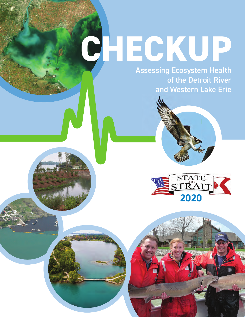# **CHECKUP**

Assessing Ecosystem Health of the Detroit River and Western Lake Erie



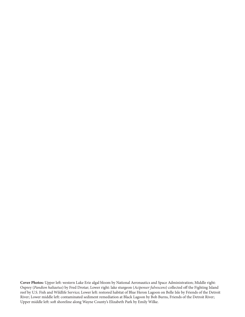**Cover Photos:** Upper left: western Lake Erie algal bloom by National Aeronautics and Space Administration; Middle right: Osprey (*Pandion haliaetus*) by Fred Drotar; Lower right: lake sturgeon (*Acipenser fulvescens*) collected off the Fighting Island reef by U.S. Fish and Wildlife Service; Lower left: restored habitat of Blue Heron Lagoon on Belle Isle by Friends of the Detroit River; Lower middle left: contaminated sediment remediation at Black Lagoon by Bob Burns, Friends of the Detroit River; Upper middle left: soft shoreline along Wayne County's Elizabeth Park by Emily Wilke.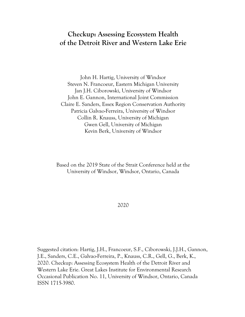# Checkup: Assessing Ecosystem Health of the Detroit River and Western Lake Erie

John H. Hartig, University of Windsor Steven N. Francoeur, Eastern Michigan University Jan J.H. Ciborowski, University of Windsor John E. Gannon, International Joint Commission Claire E. Sanders, Essex Region Conservation Authority Patricia Galvao-Ferreira, University of Windsor Collin R. Knauss, University of Michigan Gwen Gell, University of Michigan Kevin Berk, University of Windsor

Based on the 2019 State of the Strait Conference held at the University of Windsor, Windsor, Ontario, Canada

### 2020

Suggested citation: Hartig, J.H., Francoeur, S.F., Ciborowski, J.J.H., Gannon, J.E., Sanders, C.E., Galvao-Ferreira, P., Knauss, C.R., Gell, G., Berk, K., 2020. Checkup: Assessing Ecosystem Health of the Detroit River and Western Lake Erie. Great Lakes Institute for Environmental Research Occasional Publication No. 11, University of Windsor, Ontario, Canada ISSN 1715-3980.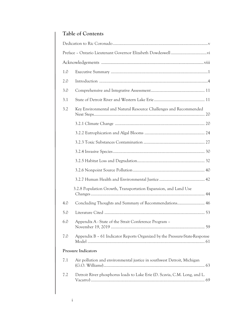# Table of Contents

| 1.0 |                                                                            |  |
|-----|----------------------------------------------------------------------------|--|
| 2.0 |                                                                            |  |
| 3.0 |                                                                            |  |
| 3.1 |                                                                            |  |
| 3.2 | Key Environmental and Natural Resource Challenges and Recommended          |  |
|     |                                                                            |  |
|     |                                                                            |  |
|     |                                                                            |  |
|     |                                                                            |  |
|     |                                                                            |  |
|     |                                                                            |  |
|     |                                                                            |  |
|     | 3.2.8 Population Growth, Transportation Expansion, and Land Use            |  |
| 4.0 | Concluding Thoughts and Summary of Recommendations 46                      |  |
| 5.0 |                                                                            |  |
| 6.0 | Appendix A - State of the Strait Conference Program -                      |  |
| 7.0 | Appendix B - 61 Indicator Reports Organized by the Pressure-State-Response |  |
|     | <b>Pressure Indicators</b>                                                 |  |
| 7.1 | Air pollution and environmental justice in southwest Detroit, Michigan     |  |
| 7.2 | Detroit River phosphorus loads to Lake Erie (D. Scavia, C.M. Long, and L.  |  |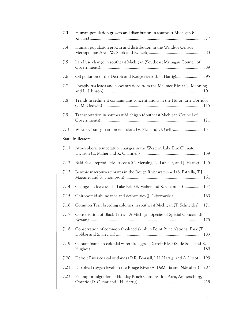| 7.3  | Human population growth and distribution in southeast Michigan (C.           |
|------|------------------------------------------------------------------------------|
| 7.4  | Human population growth and distribution in the Windsor Census               |
| 7.5  | Land use change in southeast Michigan (Southeast Michigan Council of         |
| 7.6  |                                                                              |
| 7.7  | Phosphorus loads and concentrations from the Maumee River (N. Manning        |
| 7.8  | Trends in sediment contaminant concentrations in the Huron-Erie Corridor     |
| 7.9  | Transportation in southeast Michigan (Southeast Michigan Council of          |
| 7.10 |                                                                              |
|      | <b>State Indicators</b>                                                      |
| 7.11 | Atmospheric temperature changes in the Western Lake Erie Climate             |
| 7.12 | Bald Eagle reproductive success (C. Mensing, N. LaFleur, and J. Hartig) 145  |
| 7.13 | Benthic macroinvertebrates in the Rouge River watershed (S. Patrella, T.J.   |
| 7.14 | Changes in ice cover in Lake Erie (E. Maher and K. Channell)  157            |
| 7.15 | Chironomid abundance and deformities (J. Ciborowski) 163                     |
| 7.16 | Common Tern breeding colonies in southeast Michigan (T. Schneider)  171      |
| 7.17 | Conservation of Black Terns - A Michigan Species of Special Concern (E.      |
| 7.18 | Conservation of common five-lined skink in Point Pelee National Park (T.     |
| 7.19 | Contaminants in colonial waterbird eggs - Detroit River (S. de Solla and K.  |
| 7.20 | Detroit River coastal wetlands (D.R. Pearsall, J.H. Hartig, and A. Urso) 199 |
| 7.21 | Dissolved oxygen levels in the Rouge River (A. DeMaria and N.Mullett) 207    |
| 7.22 | Fall raptor migration at Holiday Beach Conservation Area, Amherstburg,       |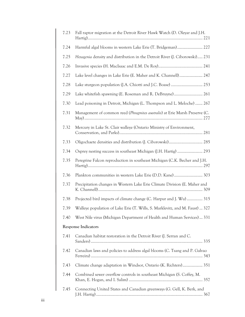| 7.23                       | Fall raptor migration at the Detroit River Hawk Watch (D. Oleyar and J.H.    |  |
|----------------------------|------------------------------------------------------------------------------|--|
| 7.24                       | Harmful algal blooms in western Lake Erie (T. Bridgeman) 227                 |  |
| 7.25                       | Hexagenia density and distribution in the Detroit River (J. Ciborowski) 231  |  |
| 7.26                       |                                                                              |  |
| 7.27                       | Lake level changes in Lake Erie (E. Maher and K. Channell) 247               |  |
| 7.28                       |                                                                              |  |
| 7.29                       | Lake whitefish spawning (E. Roseman and R. DeBruyne) 261                     |  |
| 7.30                       | Lead poisoning in Detroit, Michigan (L. Thompson and L. Meloche)  267        |  |
| 7.31                       | Management of common reed (Phragmites australis) at Erie Marsh Preserve (C.  |  |
| 7.32                       | Mercury in Lake St. Clair walleye (Ontario Ministry of Environment,          |  |
| 7.33                       | Oligochaete densities and distribution (J. Ciborowski) 285                   |  |
| 7.34                       | Osprey nesting success in southeast Michigan (J.H. Hartig)  293              |  |
| 7.35                       | Peregrine Falcon reproduction in southeast Michigan (C.K. Becher and J.H.    |  |
| 7.36                       | Plankton communities in western Lake Erie (D.D. Kane) 303                    |  |
| 7.37                       | Precipitation changes in Western Lake Erie Climate Division (E. Maher and    |  |
| 7.38                       | Projected bird impacts of climate change (C. Harpur and J. Wu) 315           |  |
| 7.39                       | Walleye population of Lake Erie (T. Wills, S. Marklevitz, and M. Faust)  327 |  |
| 7.40                       | West Nile virus (Michigan Department of Health and Human Services)  331      |  |
| <b>Response Indicators</b> |                                                                              |  |
| 7.41                       | Canadian habitat restoration in the Detroit River (J. Serran and C.          |  |
| 7.42                       | Canadian laws and policies to address algal blooms (C. Tsang and P. Galvao   |  |
| 7.43                       | Climate change adaptation in Windsor, Ontario (K. Richters) 351              |  |
| 7.44                       | Combined sewer overflow controls in southeast Michigan (S. Coffey, M.        |  |
| 7.45                       | Connecting United States and Canadian greenways (G. Gell, K. Berk, and       |  |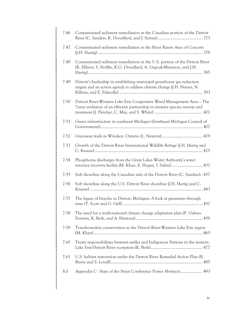| 7.46 | Contaminated sediment remediation in the Canadian portion of the Detroit                                                                               |
|------|--------------------------------------------------------------------------------------------------------------------------------------------------------|
| 7.47 | Contaminated sediment remediation in the River Raisin Area of Concern                                                                                  |
| 7.48 | Contaminated sediment remediation in the U.S. portion of the Detroit River<br>(R. Ellison, S. Noffke, K.G. Drouillard, A. Grgicak-Mannion, and J.H.    |
| 7.49 | Detroit's leadership in establishing municipal greenhouse gas reduction<br>targets and an action agenda to address climate change (J.H. Heeres, N.     |
| 7.50 | Detroit River-Western Lake Erie Cooperative Weed Management Area - The<br>7-year evolution of an effective partnership in invasive species surveys and |
| 7.51 | Green infrastructure in southeast Michigan (Southeast Michigan Council of                                                                              |
| 7.52 |                                                                                                                                                        |
| 7.53 | Growth of the Detroit River International Wildlife Refuge (J.H. Hartig and                                                                             |
| 7.54 | Phosphorus discharges from the Great Lakes Water Authority's water<br>resource recovery facility (M. Khan, E. Hogan, I. Salim) 431                     |
| 7.55 | Soft shoreline along the Canadian side of the Detroit River (C. Sanders) 437                                                                           |
| 7.56 | Soft shoreline along the U.S. Detroit River shoreline (J.H. Hartig and C.                                                                              |
| 7.57 | The legacy of bicycles in Detroit, Michigan: A look at greenways through                                                                               |
| 7.58 | The need for a multi-national climate change adaptation plan (P. Galvao-                                                                               |
| 7.59 | Transboundary conservation in the Detroit River-Western Lake Erie region                                                                               |
| 7.60 | Treaty responsibilities between settler and Indigenous Nations in the western                                                                          |
| 7.61 | U.S. habitat restoration under the Detroit River Remedial Action Plan (B.                                                                              |
| 8.0  | Appendix C - State of the Strait Conference Poster Abstracts 493                                                                                       |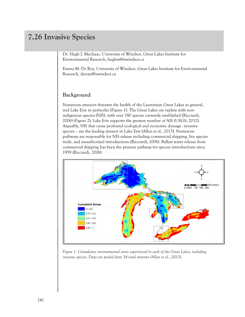# 7.26 Invasive Species

Dr. Hugh J. MacIsaac, University of Windsor, Great Lakes Institute for Environmental Research, hughm@uwindsor.ca

Emma M. De Roy, University of Windsor, Great Lakes Institute for Environmental Research, deroye@uwindsor.ca

### Background

Numerous stressors threaten the health of the Laurentian Great Lakes in general, and Lake Erie in particular (Figure 1). The Great Lakes are replete with nonindigenous species (NIS), with over 180 species currently established (Ricciardi, 2006) (Figure 2); Lake Erie supports the greatest number of AIS (USGS, 2012). Arguably, NIS that cause profound ecological and economic damage - invasive species – are the leading stressor in Lake Erie (Allan et al., 2013). Numerous pathways are responsible for NIS release including commercial shipping, live species trade, and unauthorized introductions (Ricciardi, 2006). Ballast water release from commercial shipping has been the primary pathway for species introductions since 1959 (Ricciardi, 2006).



Figure 1. Cumulative environmental stress experienced in each of the Great Lakes, including invasive species. Data are pooled from 34 total stressors (Allan et al., 2013).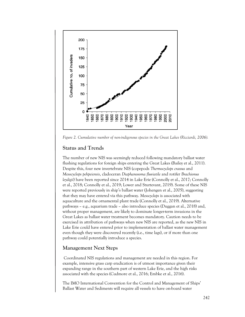

Figure 2. Cumulative number of non-indigenous species in the Great Lakes (Ricciardi, 2006).

## Status and Trends

The number of new NIS was seemingly reduced following mandatory ballast water flushing regulations for foreign ships entering the Great Lakes (Bailey et al., 2011). Despite this, four new invertebrate NIS (copepods Thermocyclops crassus and Mesocyclops pehpeiensis, cladoceran Diaphanosoma fluviatile and rotifer Brachionus leydigii) have been reported since 2014 in Lake Erie (Connolly et al., 2017; Connolly et al., 2018; Connolly et al., 2019; Lower and Sturtevant, 2019). Some of these NIS were reported previously in ship's ballast water (Johengen et al., 2005), suggesting that they may have entered via this pathway. Mesocyclops is associated with aquaculture and the ornamental plant trade (Connolly et al., 2019). Alternative pathways – e.g., aquarium trade – also introduce species (Duggan et al., 2018) and, without proper management, are likely to dominate longer-term invasions in the Great Lakes as ballast water treatment becomes mandatory. Caution needs to be exercised in attribution of pathways when new NIS are reported, as the new NIS in Lake Erie could have entered prior to implementation of ballast water management even though they were discovered recently (i.e., time lags), or if more than one pathway could potentially introduce a species.

### Management Next Steps

 Coordinated NIS regulations and management are needed in this region. For example, intensive grass carp eradication is of utmost importance given their expanding range in the southern part of western Lake Erie, and the high risks associated with the species (Cudmore et al., 2016; Embke et al., 2016).

The IMO International Convention for the Control and Management of Ships' Ballast Water and Sediments will require all vessels to have on-board water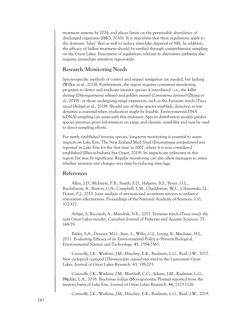treatment systems by 2024, and places limits on the permissible abundance of discharged organisms (IMO, 2016). It is important that these regulations apply to the domestic 'laker' fleet as well to reduce inter-lake dispersal of NIS. In addition, the efficacy of ballast treatment should be verified through comprehensive sampling on the Great Lakes. Enactment of regulations relevant to alternative pathways also requires immediate attention region-wide.

### Research/Monitoring Needs

Species-specific methods of control and impact mitigation are needed, but lacking (Wilkie et al., 2018). Furthermore, the region requires consistent monitoring programs to detect and eradicate invasive species if introduced - i.e., the killer shrimp (Dikerogammarus villosus) and golden mussel (Limnoperna fortunei) (Zhang et al., 2019) - or those undergoing range expansion, such as the Eurasian tench (Tinca tinca) (Avlijaš et al., 2018). Should any of these species establish, detection at low densities is essential when eradication might be feasible. Environmental DNA (eDNA) sampling can assist with this endeavor. Species distribution models predict species presence given information on range and climatic suitability and may be used to direct sampling efforts.

For newly established invasive species, long-term monitoring is essential to assess impacts on Lake Erie. The New Zealand Mud Snail (Potamopyrgus antipodarum) was reported in Lake Erie for the first time in 2007, where it is now considered established (Illinois-Indiana Sea Grant, 2019). Its impacts are unknown in this region but may be significant. Regular monitoring can also allow managers to assess whether invasion rate changes over time by reducing time lags.

### References

Allan, J.D., McIntyre, P.B., Smith, S.D., Halpern, B.S., Boyer, G.L., Buchsbaum, A., Burton, G.A., Campbell, L.M., Chadderton, W.L., Ciborowski, J.J., Doran, P.J., 2013. Joint analysis of stressors and ecosystem services to enhance restoration effectiveness. Proceedings of the National Academy of Sciences. 110, 372-377.

Avlijaš, S, Ricciardi, A., Mandrak, N.E., 2017. Eurasian tench (Tinca tinca): the next Great Lakes invader. Canadian Journal of Fisheries and Aquatic Sciences. 75, 169-79.

Bailey, S.A., Deneau, M.G., Jean, L., Wiley, C.J., Leung, B., MacIsaac, H.J., 2011. Evaluating Efficacy of an Environmental Policy to Prevent Biological. Environmental Science and Technology. 45, 2554-2561.

Connolly, J.K., Watkins, J.M., Hinchey, E.K., Rudstam, L.G., Reid, J.W., 2017. New cyclopoid copepod (Thermocyclops crassus) reported in the Laurentian Great Lakes. Journal of Great Lakes Research. 43, 198-203.

Connolly, J.K., Watkins, J.M., Marshall, C.C., Adams, J.M., Rudstam, L.G., Błędzki, L.A., 2018. Brachionus leydigii (Monogononta: Ploima) reported from the western basin of Lake Erie. Journal of Great Lakes Research. 44, 1123-1126.

Connolly, J.K., Watkins, J.M., Hinchey, E.K., Rudstam, L.G., Reid, J.W., 2019.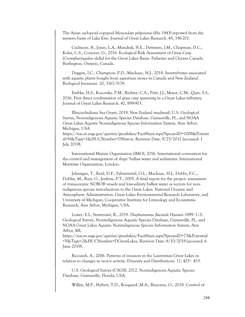The Asian cyclopoid copepod Mesocyclops pehpeiensis (Hu 1943) reported from the western basin of Lake Erie. Journal of Great Lakes Research. 45, 196-201.

Cudmore, B., Jones, L.A., Mandrak, N.E., Dettmers, J.M., Chapman, D.C., Kolar, C.S., Conover, G., 2016. Ecological Risk Assessment of Grass Carp (Ctenopharyngodon idella) for the Great Lakes Basin. Fisheries and Oceans Canada. Burlington, Ontario, Canada.

Duggan, I.C., Champion, P.D., MacIsaac, H.J., 2018. Invertebrates associated with aquatic plants bought from aquarium stores in Canada and New Zealand. Biological Invasions. 20, 3167-3178.

Embke, H.S., Kocovsky, P.M., Richter, C.A., Pritt, J.J., Mayer, C.M., Qian, S.S., 2016. First direct confirmation of grass carp spawning in a Great Lakes tributary. Journal of Great Lakes Research. 42, 899-903.

Illinois-Indiana Sea Grant, 2019. New Zealand mudsnail: U.S. Geological Survey, Nonindigenous Aquatic Species Database, Gainesville, FL, and NOAA Great Lakes Aquatic Nonindigenous Species Information System, Ann Arbor, Michigan, USA

https://nas.er.usgs.gov/queries/greatlakes/FactSheet.aspx?SpeciesID=1008&Potenti al=N&Type=1&HUCNumber=DHuron, Revision Date: 9/25/2012 (accessed: 1 July 2019).

International Marine Organization (IMO), 2016. International convention for the control and management of ships' ballast water and sediments. International Maritime Organization, London.

Johengen, T., Reid, D.F., Fahnenstiel, G.L., MacIsaac, H.J., Dobbs, F.C., Doblin, M., Ruiz, G., Jenkins, P.T., 2005. A final report for the project: assessment of transoceanic NOBOB vessels and low-salinity ballast water as vectors for nonindigenous species introductions to the Great Lakes. National Oceanic and Atmospheric Administration, Great Lakes Environmental Research Laboratory, and University of Michigan, Cooperative Institute for Limnology and Ecosystems Research, Ann Arbor, Michigan, USA.

Lower, E.I., Sturtevant, R., 2019. Diaphanosoma fluviatile Hansen 1899. U.S. Geological Survey, Nonindigenous Aquatic Species Database, Gainesville, FL, and NOAA Great Lakes Aquatic Nonindigenous Species Information System, Ann Arbor, MI,

https://nas.er.usgs.gov/queries/greatlakes/FactSheet.aspx?SpeciesID=73&Potential =Y&Type=2&HUCNumber=DGreatLakes, Revision Date: 8/10/2018 (accessed: 6 June 2019).

Ricciardi, A., 2006. Patterns of invasion in the Laurentian Great Lakes in relation to changes in vector activity. Diversity and Distributions. 12, 425− 433.

U.S. Geological Survey (USGS), 2012. Nonindigenous Aquatic Species Database, Gainesville, Florida, USA.

Wilkie, M.P., Hubert, T.D., Boogaard, M.A., Birceanu, O., 2018. Control of